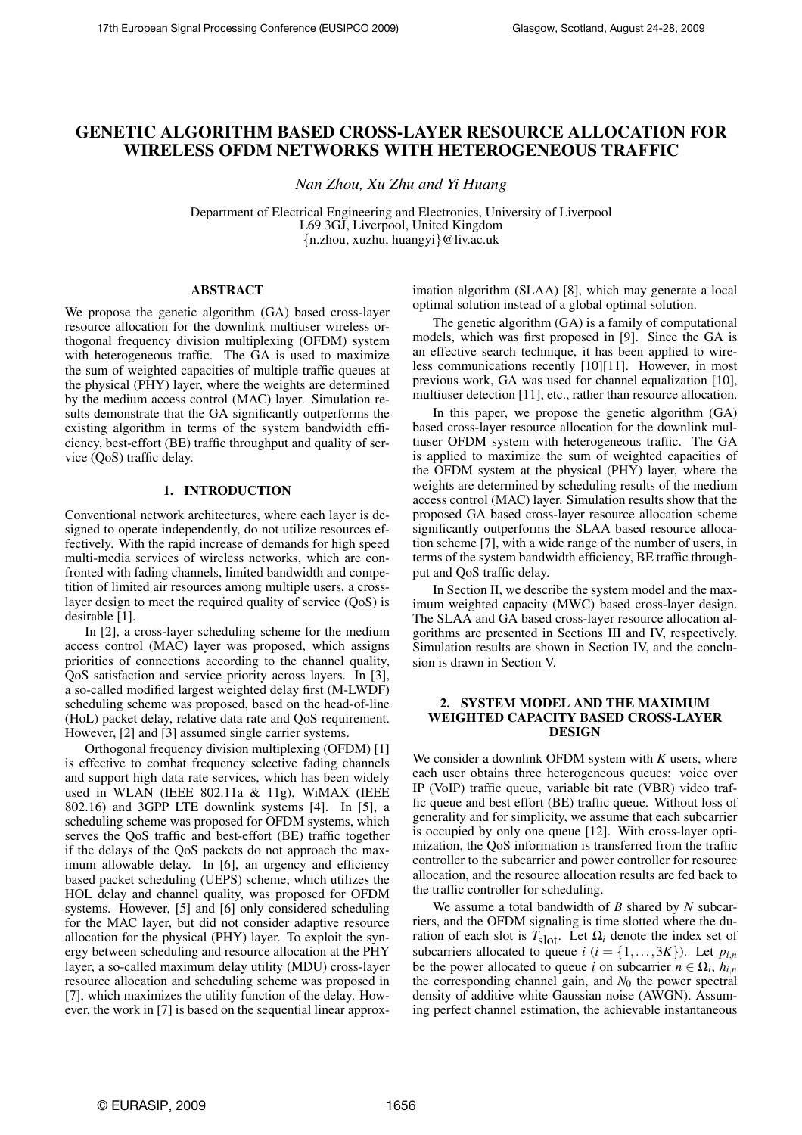# GENETIC ALGORITHM BASED CROSS-LAYER RESOURCE ALLOCATION FOR WIRELESS OFDM NETWORKS WITH HETEROGENEOUS TRAFFIC

*Nan Zhou, Xu Zhu and Yi Huang*

Department of Electrical Engineering and Electronics, University of Liverpool L69 3GJ, Liverpool, United Kingdom {n.zhou, xuzhu, huangyi}@liv.ac.uk

# ABSTRACT

We propose the genetic algorithm (GA) based cross-layer resource allocation for the downlink multiuser wireless orthogonal frequency division multiplexing (OFDM) system with heterogeneous traffic. The GA is used to maximize the sum of weighted capacities of multiple traffic queues at the physical (PHY) layer, where the weights are determined by the medium access control (MAC) layer. Simulation results demonstrate that the GA significantly outperforms the existing algorithm in terms of the system bandwidth efficiency, best-effort (BE) traffic throughput and quality of service (QoS) traffic delay.

# 1. INTRODUCTION

Conventional network architectures, where each layer is designed to operate independently, do not utilize resources effectively. With the rapid increase of demands for high speed multi-media services of wireless networks, which are confronted with fading channels, limited bandwidth and competition of limited air resources among multiple users, a crosslayer design to meet the required quality of service (QoS) is desirable [1].

In [2], a cross-layer scheduling scheme for the medium access control (MAC) layer was proposed, which assigns priorities of connections according to the channel quality, QoS satisfaction and service priority across layers. In [3], a so-called modified largest weighted delay first (M-LWDF) scheduling scheme was proposed, based on the head-of-line (HoL) packet delay, relative data rate and QoS requirement. However, [2] and [3] assumed single carrier systems.

Orthogonal frequency division multiplexing (OFDM) [1] is effective to combat frequency selective fading channels and support high data rate services, which has been widely used in WLAN (IEEE 802.11a & 11g), WiMAX (IEEE 802.16) and 3GPP LTE downlink systems [4]. In [5], a scheduling scheme was proposed for OFDM systems, which serves the QoS traffic and best-effort (BE) traffic together if the delays of the QoS packets do not approach the maximum allowable delay. In [6], an urgency and efficiency based packet scheduling (UEPS) scheme, which utilizes the HOL delay and channel quality, was proposed for OFDM systems. However, [5] and [6] only considered scheduling for the MAC layer, but did not consider adaptive resource allocation for the physical (PHY) layer. To exploit the synergy between scheduling and resource allocation at the PHY layer, a so-called maximum delay utility (MDU) cross-layer resource allocation and scheduling scheme was proposed in [7], which maximizes the utility function of the delay. However, the work in [7] is based on the sequential linear approximation algorithm (SLAA) [8], which may generate a local optimal solution instead of a global optimal solution.

The genetic algorithm (GA) is a family of computational models, which was first proposed in [9]. Since the GA is an effective search technique, it has been applied to wireless communications recently [10][11]. However, in most previous work, GA was used for channel equalization [10], multiuser detection [11], etc., rather than resource allocation.

In this paper, we propose the genetic algorithm (GA) based cross-layer resource allocation for the downlink multiuser OFDM system with heterogeneous traffic. The GA is applied to maximize the sum of weighted capacities of the OFDM system at the physical (PHY) layer, where the weights are determined by scheduling results of the medium access control (MAC) layer. Simulation results show that the proposed GA based cross-layer resource allocation scheme significantly outperforms the SLAA based resource allocation scheme [7], with a wide range of the number of users, in terms of the system bandwidth efficiency, BE traffic throughput and QoS traffic delay.

In Section II, we describe the system model and the maximum weighted capacity (MWC) based cross-layer design. The SLAA and GA based cross-layer resource allocation algorithms are presented in Sections III and IV, respectively. Simulation results are shown in Section IV, and the conclusion is drawn in Section V.

# 2. SYSTEM MODEL AND THE MAXIMUM WEIGHTED CAPACITY BASED CROSS-LAYER DESIGN

We consider a downlink OFDM system with *K* users, where each user obtains three heterogeneous queues: voice over IP (VoIP) traffic queue, variable bit rate (VBR) video traffic queue and best effort (BE) traffic queue. Without loss of generality and for simplicity, we assume that each subcarrier is occupied by only one queue [12]. With cross-layer optimization, the QoS information is transferred from the traffic controller to the subcarrier and power controller for resource allocation, and the resource allocation results are fed back to the traffic controller for scheduling.

We assume a total bandwidth of *B* shared by *N* subcarriers, and the OFDM signaling is time slotted where the duration of each slot is  $T_{\text{slot}}$ . Let  $\Omega_i$  denote the index set of subcarriers allocated to queue *i* ( $i = \{1, \ldots, 3K\}$ ). Let  $p_{i,n}$ be the power allocated to queue *i* on subcarrier  $n \in \Omega_i$ ,  $h_{i,n}$ the corresponding channel gain, and  $N_0$  the power spectral density of additive white Gaussian noise (AWGN). Assuming perfect channel estimation, the achievable instantaneous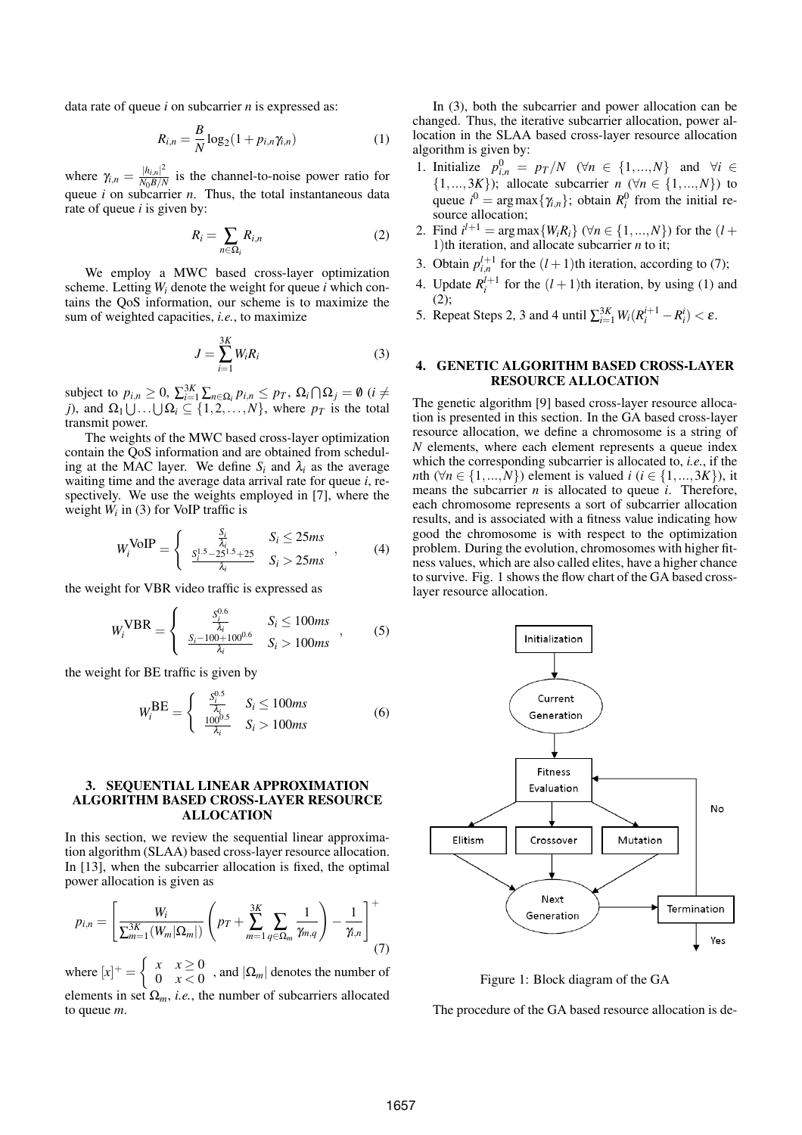data rate of queue *i* on subcarrier *n* is expressed as:

$$
R_{i,n} = \frac{B}{N} \log_2(1 + p_{i,n} \gamma_{i,n})
$$
 (1)

where  $\gamma_{i,n} = \frac{|h_{i,n}|^2}{N_0 B/N}$  $\frac{|n_{i,n}|}{N_0 B/N}$  is the channel-to-noise power ratio for queue *i* on subcarrier *n*. Thus, the total instantaneous data rate of queue *i* is given by:

$$
R_i = \sum_{n \in \Omega_i} R_{i,n} \tag{2}
$$

We employ a MWC based cross-layer optimization scheme. Letting  $W_i$  denote the weight for queue *i* which contains the QoS information, our scheme is to maximize the sum of weighted capacities, *i.e.*, to maximize

$$
J = \sum_{i=1}^{3K} W_i R_i
$$
 (3)

subject to  $p_{i,n} \geq 0$ ,  $\sum_{i=1}^{3K} \sum_{n \in \Omega_i} p_{i,n} \leq p_T$ ,  $\Omega_i \cap \Omega_j = \emptyset$  (*i*  $\neq$  $j$ ), and  $\Omega_1 \cup ... \cup \Omega_i \subseteq \{1,2,...,N\}$ , where  $p_T$  is the total transmit power.

The weights of the MWC based cross-layer optimization contain the QoS information and are obtained from scheduling at the MAC layer. We define  $S_i$  and  $\lambda_i$  as the average waiting time and the average data arrival rate for queue *i*, respectively. We use the weights employed in [7], where the weight  $W_i$  in (3) for VoIP traffic is

$$
W_i^{\text{VoIP}} = \begin{cases} \frac{S_i}{\lambda_i} & S_i \le 25ms\\ \frac{S_i^{1.5} - 25^{1.5} + 25}{\lambda_i} & S_i > 25ms \end{cases}
$$
 (4)

the weight for VBR video traffic is expressed as

 $\overline{a}$ 

$$
W_i^{\text{VBR}} = \begin{cases} \frac{S_i^{0.6}}{\lambda_i} & S_i \le 100ms \\ \frac{S_i - 100 + 100^{0.6}}{\lambda_i} & S_i > 100ms \end{cases} , \qquad (5)
$$

the weight for BE traffic is given by

$$
W_i^{\text{BE}} = \begin{cases} \frac{S_i^{0.5}}{\lambda_i} & S_i \le 100ms\\ \frac{100^{0.5}}{\lambda_i} & S_i > 100ms \end{cases}
$$
 (6)

#### 3. SEQUENTIAL LINEAR APPROXIMATION ALGORITHM BASED CROSS-LAYER RESOURCE ALLOCATION

In this section, we review the sequential linear approximation algorithm (SLAA) based cross-layer resource allocation. In [13], when the subcarrier allocation is fixed, the optimal power allocation is given as

$$
p_{i,n} = \left[\frac{W_i}{\sum_{m=1}^{3K} (W_m | \Omega_m |)} \left( p_T + \sum_{m=1}^{3K} \sum_{q \in \Omega_m} \frac{1}{\gamma_{m,q}} \right) - \frac{1}{\gamma_{i,n}} \right]^+(7)
$$

where  $[x]^{+} =$  $x \quad x \geq 0$  $\begin{array}{cc} \lambda & \lambda \leq 0 \\ 0 & x < 0 \end{array}$ , and  $|\Omega_m|$  denotes the number of elements in set  $\Omega_m$ , *i.e.*, the number of subcarriers allocated to queue *m*.

In (3), both the subcarrier and power allocation can be changed. Thus, the iterative subcarrier allocation, power allocation in the SLAA based cross-layer resource allocation algorithm is given by:

- 1. Initialize  $p_{i,n}^0 = p_T/N$  ( $\forall n \in \{1,...,N\}$  and  $\forall i \in$  $\{1,...,3K\}$ ; allocate subcarrier *n* ( $\forall n \in \{1,...,N\}$ ) to queue  $i^0 = \arg \max\{\gamma_{i,n}\}\;$ ; obtain  $R_i^0$  from the initial resource allocation;
- 2. Find  $i^{l+1} = \arg \max \{ W_i R_i \}$  ( $\forall n \in \{1, ..., N\}$ ) for the (*l* + 1)th iteration, and allocate subcarrier *n* to it;
- 3. Obtain  $p_{i,n}^{l+1}$  for the  $(l+1)$ th iteration, according to (7);
- 4. Update  $R_i^{l+1}$  for the  $(l+1)$ th iteration, by using (1) and (2);
- 5. Repeat Steps 2, 3 and 4 until  $\sum_{i=1}^{3K} W_i (R_i^{i+1} R_i^i) < \varepsilon$ .

## 4. GENETIC ALGORITHM BASED CROSS-LAYER RESOURCE ALLOCATION

The genetic algorithm [9] based cross-layer resource allocation is presented in this section. In the GA based cross-layer resource allocation, we define a chromosome is a string of *N* elements, where each element represents a queue index which the corresponding subcarrier is allocated to, *i.e.*, if the *n*th ( $\forall n \in \{1, ..., N\}$ ) element is valued *i* (*i* ∈ {1,...,3*K*}), it means the subcarrier *n* is allocated to queue *i*. Therefore, each chromosome represents a sort of subcarrier allocation results, and is associated with a fitness value indicating how good the chromosome is with respect to the optimization problem. During the evolution, chromosomes with higher fitness values, which are also called elites, have a higher chance to survive. Fig. 1 shows the flow chart of the GA based crosslayer resource allocation.



Figure 1: Block diagram of the GA

The procedure of the GA based resource allocation is de-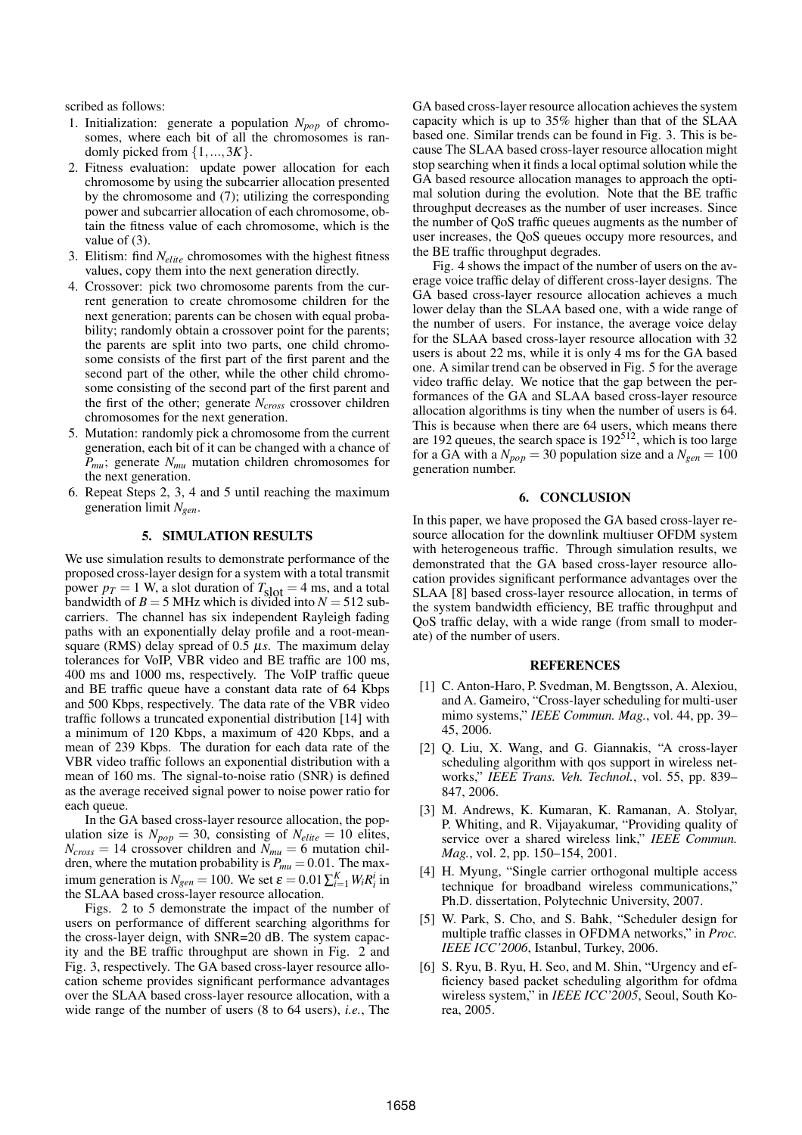scribed as follows:

- 1. Initialization: generate a population *Npop* of chromosomes, where each bit of all the chromosomes is randomly picked from {1,...,3*K*}.
- 2. Fitness evaluation: update power allocation for each chromosome by using the subcarrier allocation presented by the chromosome and (7); utilizing the corresponding power and subcarrier allocation of each chromosome, obtain the fitness value of each chromosome, which is the value of (3).
- 3. Elitism: find *Nelite* chromosomes with the highest fitness values, copy them into the next generation directly.
- 4. Crossover: pick two chromosome parents from the current generation to create chromosome children for the next generation; parents can be chosen with equal probability; randomly obtain a crossover point for the parents; the parents are split into two parts, one child chromosome consists of the first part of the first parent and the second part of the other, while the other child chromosome consisting of the second part of the first parent and the first of the other; generate *Ncross* crossover children chromosomes for the next generation.
- 5. Mutation: randomly pick a chromosome from the current generation, each bit of it can be changed with a chance of *Pmu*; generate *Nmu* mutation children chromosomes for the next generation.
- 6. Repeat Steps 2, 3, 4 and 5 until reaching the maximum generation limit *Ngen*.

#### 5. SIMULATION RESULTS

We use simulation results to demonstrate performance of the proposed cross-layer design for a system with a total transmit power  $p_T = 1$  W, a slot duration of  $T_{\text{slot}} = 4$  ms, and a total bandwidth of  $B = 5$  MHz which is divided into  $N = 512$  subcarriers. The channel has six independent Rayleigh fading paths with an exponentially delay profile and a root-meansquare (RMS) delay spread of  $0.5 \mu s$ . The maximum delay tolerances for VoIP, VBR video and BE traffic are 100 ms, 400 ms and 1000 ms, respectively. The VoIP traffic queue and BE traffic queue have a constant data rate of 64 Kbps and 500 Kbps, respectively. The data rate of the VBR video traffic follows a truncated exponential distribution [14] with a minimum of 120 Kbps, a maximum of 420 Kbps, and a mean of 239 Kbps. The duration for each data rate of the VBR video traffic follows an exponential distribution with a mean of 160 ms. The signal-to-noise ratio (SNR) is defined as the average received signal power to noise power ratio for each queue.

In the GA based cross-layer resource allocation, the population size is  $N_{pop} = 30$ , consisting of  $N_{elite} = 10$  elites,  $N_{cross} = 14$  crossover children and  $N_{mu} = 6$  mutation children, where the mutation probability is  $P_{mu} = 0.01$ . The maximum generation is  $N_{gen} = 100$ . We set  $\varepsilon = 0.01 \sum_{i=1}^{K} W_i R_i^i$  in the SLAA based cross-layer resource allocation.

Figs. 2 to 5 demonstrate the impact of the number of users on performance of different searching algorithms for the cross-layer deign, with SNR=20 dB. The system capacity and the BE traffic throughput are shown in Fig. 2 and Fig. 3, respectively. The GA based cross-layer resource allocation scheme provides significant performance advantages over the SLAA based cross-layer resource allocation, with a wide range of the number of users (8 to 64 users), *i.e.*, The

GA based cross-layer resource allocation achieves the system capacity which is up to 35% higher than that of the SLAA based one. Similar trends can be found in Fig. 3. This is because The SLAA based cross-layer resource allocation might stop searching when it finds a local optimal solution while the GA based resource allocation manages to approach the optimal solution during the evolution. Note that the BE traffic throughput decreases as the number of user increases. Since the number of QoS traffic queues augments as the number of user increases, the QoS queues occupy more resources, and the BE traffic throughput degrades.

Fig. 4 shows the impact of the number of users on the average voice traffic delay of different cross-layer designs. The GA based cross-layer resource allocation achieves a much lower delay than the SLAA based one, with a wide range of the number of users. For instance, the average voice delay for the SLAA based cross-layer resource allocation with 32 users is about 22 ms, while it is only 4 ms for the GA based one. A similar trend can be observed in Fig. 5 for the average video traffic delay. We notice that the gap between the performances of the GA and SLAA based cross-layer resource allocation algorithms is tiny when the number of users is 64. This is because when there are 64 users, which means there are 192 queues, the search space is  $192<sup>512</sup>$ , which is too large for a GA with a  $N_{pop} = 30$  population size and a  $N_{gen} = 100$ generation number.

## 6. CONCLUSION

In this paper, we have proposed the GA based cross-layer resource allocation for the downlink multiuser OFDM system with heterogeneous traffic. Through simulation results, we demonstrated that the GA based cross-layer resource allocation provides significant performance advantages over the SLAA [8] based cross-layer resource allocation, in terms of the system bandwidth efficiency, BE traffic throughput and QoS traffic delay, with a wide range (from small to moderate) of the number of users.

#### **REFERENCES**

- [1] C. Anton-Haro, P. Svedman, M. Bengtsson, A. Alexiou, and A. Gameiro, "Cross-layer scheduling for multi-user mimo systems," *IEEE Commun. Mag.*, vol. 44, pp. 39– 45, 2006.
- [2] Q. Liu, X. Wang, and G. Giannakis, "A cross-layer scheduling algorithm with qos support in wireless networks," *IEEE Trans. Veh. Technol.*, vol. 55, pp. 839– 847, 2006.
- [3] M. Andrews, K. Kumaran, K. Ramanan, A. Stolyar, P. Whiting, and R. Vijayakumar, "Providing quality of service over a shared wireless link," *IEEE Commun. Mag.*, vol. 2, pp. 150–154, 2001.
- [4] H. Myung, "Single carrier orthogonal multiple access technique for broadband wireless communications," Ph.D. dissertation, Polytechnic University, 2007.
- [5] W. Park, S. Cho, and S. Bahk, "Scheduler design for multiple traffic classes in OFDMA networks," in *Proc. IEEE ICC'2006*, Istanbul, Turkey, 2006.
- [6] S. Ryu, B. Ryu, H. Seo, and M. Shin, "Urgency and efficiency based packet scheduling algorithm for ofdma wireless system," in *IEEE ICC'2005*, Seoul, South Korea, 2005.